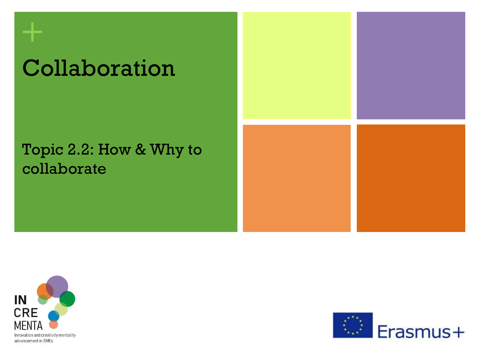# Collaboration

#### Topic 2.2: How & Why to collaborate





**+**

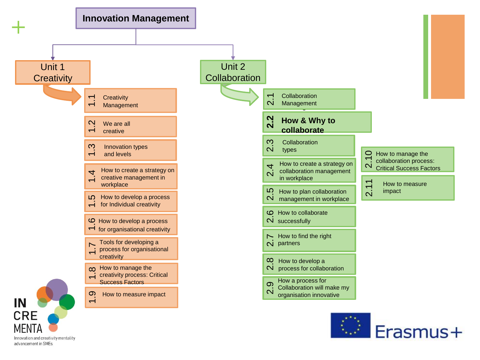

Innovation and creativity mentality advancement in SMEs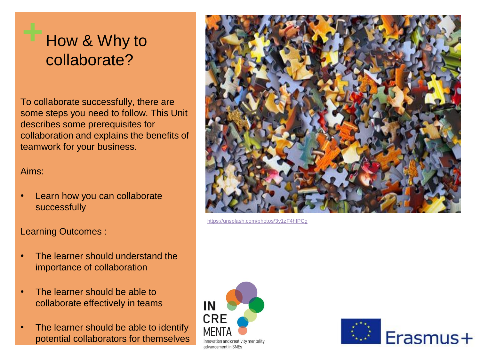#### **+** How & Why to collaborate?

To collaborate successfully, there are some steps you need to follow. This Unit describes some prerequisites for collaboration and explains the benefits of teamwork for your business.

#### Aims:

• Learn how you can collaborate successfully

Learning Outcomes :

- The learner should understand the importance of collaboration
- The learner should be able to collaborate effectively in teams
- The learner should be able to identify potential collaborators for themselves



<https://unsplash.com/photos/3y1zF4hIPCg>



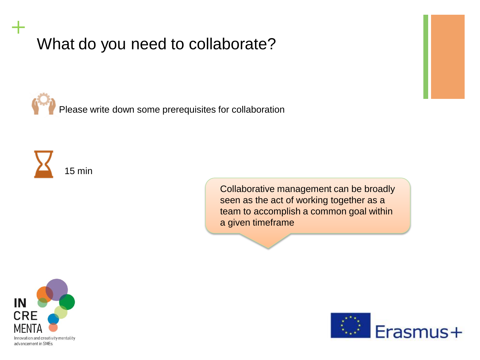Please write down some prerequisites for collaboration



**+**

Collaborative management can be broadly seen as the act of working together as a team to accomplish a common goal within a given timeframe



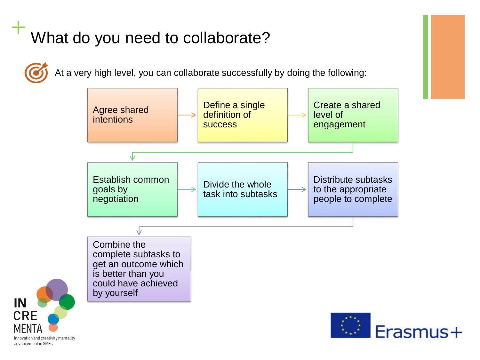At a very high level, you can collaborate successfully by doing the following:



Innovation and creativity mentality advancement in SMEs

IN

**CRE**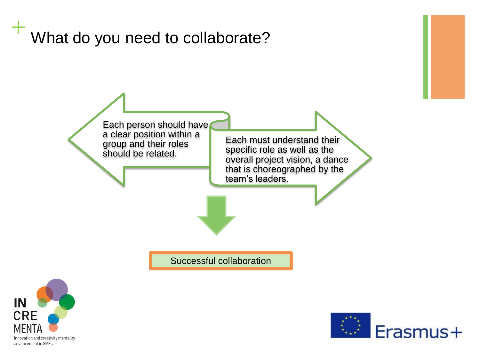



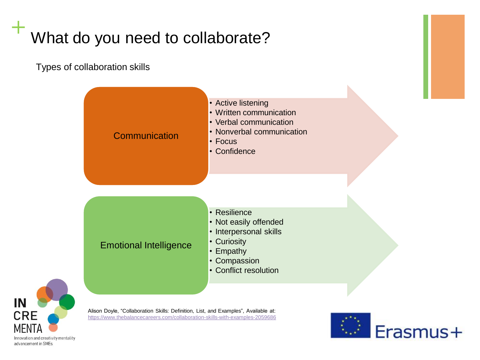Types of collaboration skills



<https://www.thebalancecareers.com/collaboration-skills-with-examples-2059686>



Innovation and creativity mentality advancement in SMEs

**IN** 

**CRE**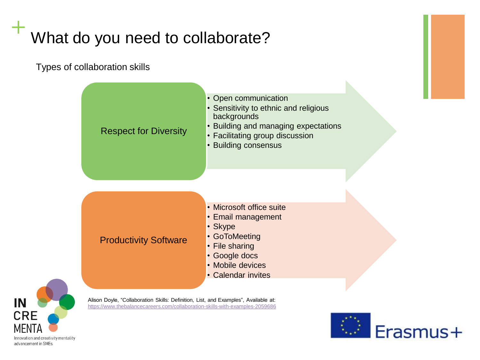Types of collaboration skills





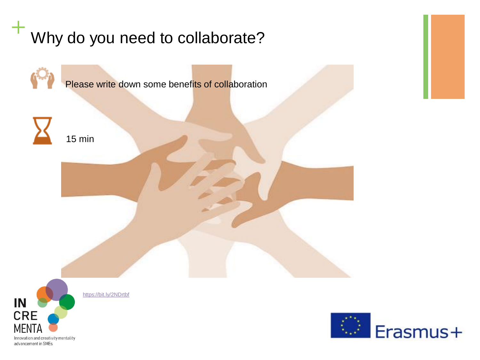



15 min



<https://bit.ly/2NDrtbf>

IN **CRE MEN** Innovation and creativity mentality

advancement in SMEs

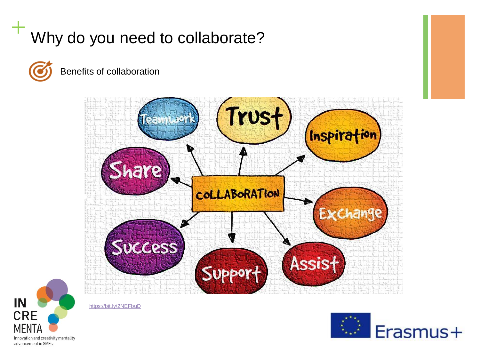

Benefits of collaboration





<https://bit.ly/2NEFbuD>

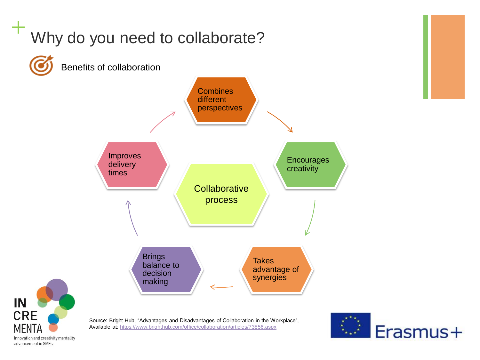



Innovation and creativity mentality advancement in SMEs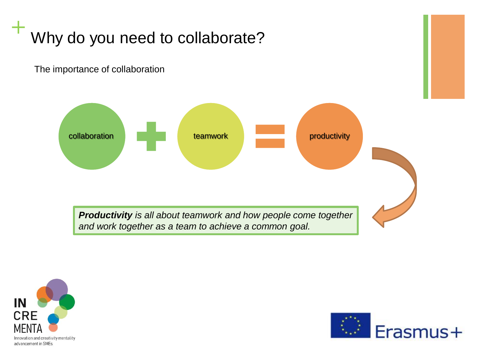The importance of collaboration





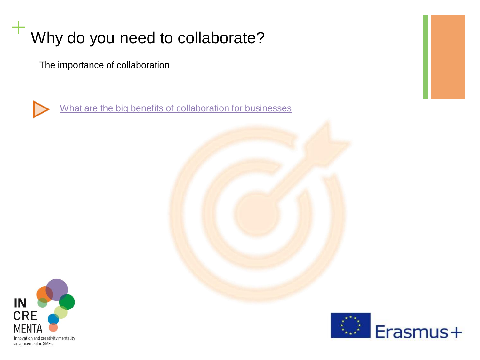The importance of collaboration



[What are the big benefits of collaboration for businesses](https://www.youtube.com/watch?v=zWCM3MKF0pI)